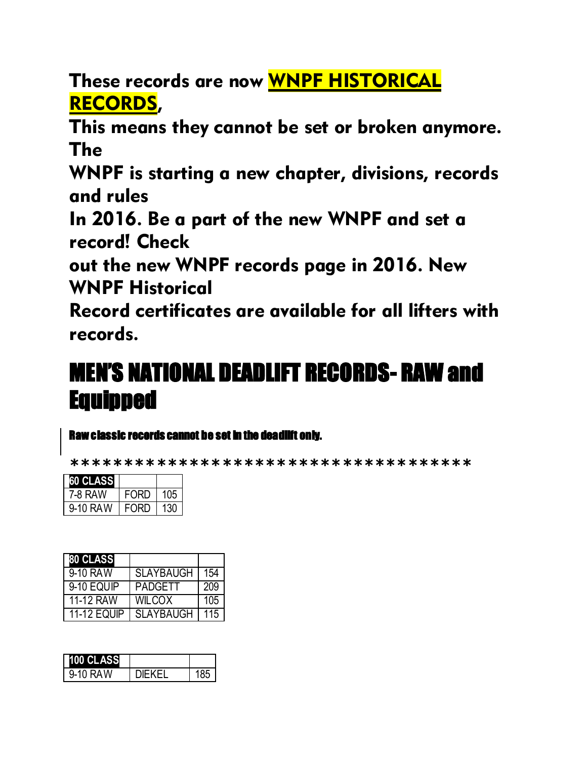These records are now WNPF HISTORICAL RECORDS,

This means they cannot be set or broken anymore. The

WNPF is starting a new chapter, divisions, records and rules

In 2016. Be a part of the new WNPF and set a record! Check

out the new WNPF records page in 2016. New WNPF Historical

Record certificates are available for all lifters with records.

# MEN'S NATIONAL DEADLIFT RECORDS- RAW and Equipped

#### Raw classic records cannot be set in the deadlift only.

**\*\*\*\*\*\*\*\*\*\*\*\*\*\*\*\*\*\*\*\*\*\*\*\*\*\*\*\*\*\*\*\*\*\*\*\*\***

| 60 CLASS |             |     |
|----------|-------------|-----|
| 7-8 RAW  | <b>FORD</b> | 105 |
| 9-10 RAW | FORD        | 130 |

| 80 CLASS           |                  |     |
|--------------------|------------------|-----|
| 9-10 RAW           | <b>SLAYBAUGH</b> | 154 |
| 9-10 EQUIP         | <b>PADGETT</b>   | 209 |
| 11-12 RAW          | <b>WILCOX</b>    | 105 |
| <b>11-12 EQUIP</b> | <b>SLAYBAUGH</b> | 115 |

| 00 CLASS |           |  |
|----------|-----------|--|
| 9-10 RAW | JIE K E I |  |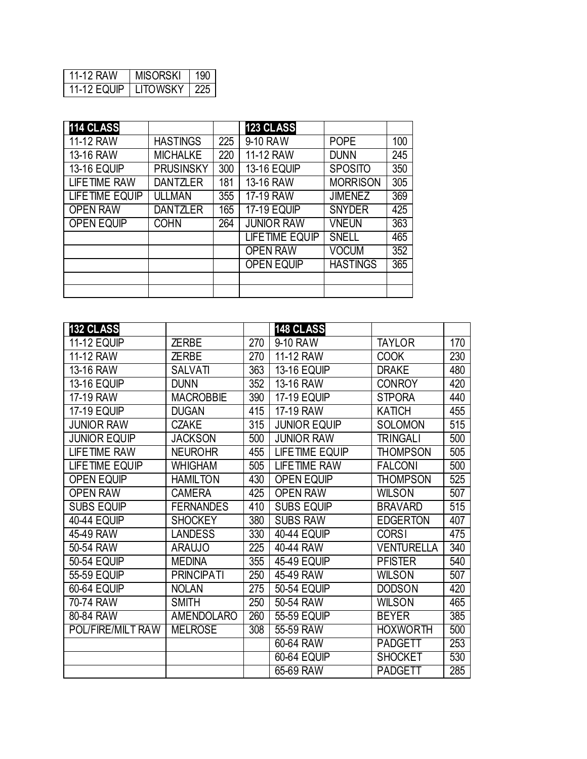| 11-12 RAW   | <b>MISORSKI</b> |     |
|-------------|-----------------|-----|
| 11-12 EQUIP | I ITOWSKY       | ソソト |

| 114 CLASS           |                  |     | 123 CLASS               |                 |     |
|---------------------|------------------|-----|-------------------------|-----------------|-----|
| 11-12 RAW           | <b>HASTINGS</b>  | 225 | 9-10 RAW                | <b>POPE</b>     | 100 |
| 13-16 RAW           | <b>MICHALKE</b>  | 220 | 11-12 RAW               | <b>DUNN</b>     | 245 |
| <b>13-16 EQUIP</b>  | <b>PRUSINSKY</b> | 300 | <b>13-16 EQUIP</b>      | <b>SPOSITO</b>  | 350 |
| <b>LIFETIME RAW</b> | <b>DANTZLER</b>  | 181 | 13-16 RAW               | <b>MORRISON</b> | 305 |
| LIFETIME EQUIP      | <b>ULLMAN</b>    | 355 | $\overline{17}$ -19 RAW | <b>JIMENEZ</b>  | 369 |
| <b>OPEN RAW</b>     | <b>DANTZLER</b>  | 165 | <b>17-19 EQUIP</b>      | <b>SNYDER</b>   | 425 |
| <b>OPEN EQUIP</b>   | <b>COHN</b>      | 264 | <b>JUNIOR RAW</b>       | <b>VNEUN</b>    | 363 |
|                     |                  |     | LIFETIME EQUIP          | <b>SNELL</b>    | 465 |
|                     |                  |     | <b>OPEN RAW</b>         | <b>VOCUM</b>    | 352 |
|                     |                  |     | <b>OPEN EQUIP</b>       | <b>HASTINGS</b> | 365 |
|                     |                  |     |                         |                 |     |
|                     |                  |     |                         |                 |     |

| <b>132 CLASS</b>    |                   |     | 148 CLASS           |                   |     |
|---------------------|-------------------|-----|---------------------|-------------------|-----|
| <b>11-12 EQUIP</b>  | <b>ZERBE</b>      | 270 | 9-10 RAW            | <b>TAYLOR</b>     | 170 |
| 11-12 RAW           | <b>ZERBE</b>      | 270 | 11-12 RAW           | <b>COOK</b>       | 230 |
| 13-16 RAW           | <b>SALVATI</b>    | 363 | <b>13-16 EQUIP</b>  | <b>DRAKE</b>      | 480 |
| <b>13-16 EQUIP</b>  | <b>DUNN</b>       | 352 | 13-16 RAW           | <b>CONROY</b>     | 420 |
| 17-19 RAW           | <b>MACROBBIE</b>  | 390 | <b>17-19 EQUIP</b>  | <b>STPORA</b>     | 440 |
| <b>17-19 EQUIP</b>  | <b>DUGAN</b>      | 415 | 17-19 RAW           | <b>KATICH</b>     | 455 |
| <b>JUNIOR RAW</b>   | <b>CZAKE</b>      | 315 | <b>JUNIOR EQUIP</b> | <b>SOLOMON</b>    | 515 |
| <b>JUNIOR EQUIP</b> | <b>JACKSON</b>    | 500 | <b>JUNIOR RAW</b>   | <b>TRINGALI</b>   | 500 |
| <b>LIFETIME RAW</b> | <b>NEUROHR</b>    | 455 | LIFETIME EQUIP      | THOMPSON          | 505 |
| LIFE TIME EQUIP     | <b>WHIGHAM</b>    | 505 | <b>LIFETIME RAW</b> | <b>FALCONI</b>    | 500 |
| <b>OPEN EQUIP</b>   | <b>HAMILTON</b>   | 430 | <b>OPEN EQUIP</b>   | <b>THOMPSON</b>   | 525 |
| <b>OPEN RAW</b>     | <b>CAMERA</b>     | 425 | <b>OPEN RAW</b>     | <b>WILSON</b>     | 507 |
| <b>SUBS EQUIP</b>   | <b>FERNANDES</b>  | 410 | <b>SUBS EQUIP</b>   | <b>BRAVARD</b>    | 515 |
| <b>40-44 EQUIP</b>  | <b>SHOCKEY</b>    | 380 | <b>SUBS RAW</b>     | <b>EDGERTON</b>   | 407 |
| 45-49 RAW           | <b>LANDESS</b>    | 330 | <b>40-44 EQUIP</b>  | <b>CORSI</b>      | 475 |
| 50-54 RAW           | <b>ARAUJO</b>     | 225 | 40-44 RAW           | <b>VENTURELLA</b> | 340 |
| <b>50-54 EQUIP</b>  | <b>MEDINA</b>     | 355 | <b>45-49 EQUIP</b>  | <b>PFISTER</b>    | 540 |
| 55-59 EQUIP         | <b>PRINCIPATI</b> | 250 | 45-49 RAW           | <b>WILSON</b>     | 507 |
| 60-64 EQUIP         | <b>NOLAN</b>      | 275 | <b>50-54 EQUIP</b>  | <b>DODSON</b>     | 420 |
| 70-74 RAW           | <b>SMITH</b>      | 250 | 50-54 RAW           | <b>WILSON</b>     | 465 |
| 80-84 RAW           | <b>AMENDOLARO</b> | 260 | 55-59 EQUIP         | <b>BEYER</b>      | 385 |
| POL/FIRE/MILT RAW   | <b>MELROSE</b>    | 308 | 55-59 RAW           | <b>HOXWORTH</b>   | 500 |
|                     |                   |     | 60-64 RAW           | <b>PADGETT</b>    | 253 |
|                     |                   |     | <b>60-64 EQUIP</b>  | <b>SHOCKET</b>    | 530 |
|                     |                   |     | 65-69 RAW           | <b>PADGETT</b>    | 285 |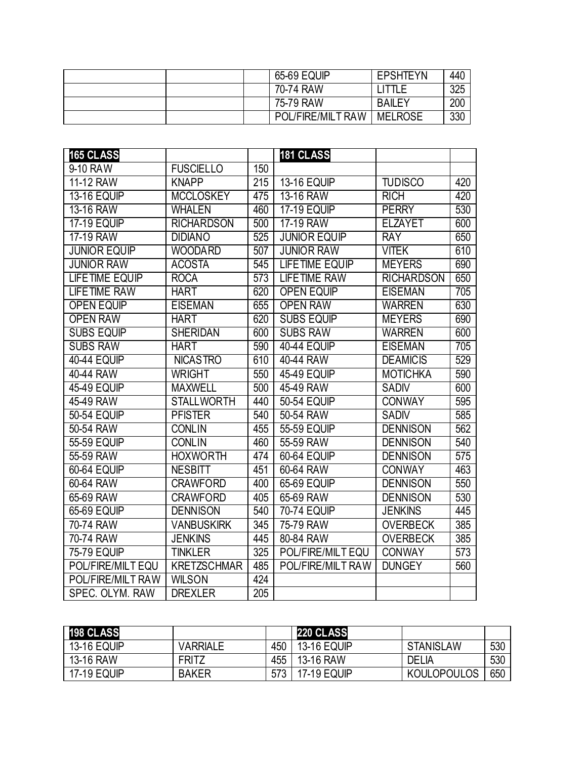|  | 65-69 EQUIP       | <b>EPSHTEYN</b> | 440 |
|--|-------------------|-----------------|-----|
|  | 70-74 RAW         |                 | 325 |
|  | 75-79 RAW         | <b>BAILEY</b>   | 200 |
|  | POL/FIRE/MILT RAW | <b>MELROSE</b>  | 330 |

| 165 CLASS             |                    |     | <b>181 CLASS</b>      |                   |     |
|-----------------------|--------------------|-----|-----------------------|-------------------|-----|
| 9-10 RAW              | <b>FUSCIELLO</b>   | 150 |                       |                   |     |
| 11-12 RAW             | <b>KNAPP</b>       | 215 | <b>13-16 EQUIP</b>    | <b>TUDISCO</b>    | 420 |
| <b>13-16 EQUIP</b>    | <b>MCCLOSKEY</b>   | 475 | 13-16 RAW             | <b>RICH</b>       | 420 |
| 13-16 RAW             | WHALEN             | 460 | <b>17-19 EQUIP</b>    | <b>PERRY</b>      | 530 |
| <b>17-19 EQUIP</b>    | <b>RICHARDSON</b>  | 500 | 17-19 RAW             | <b>ELZAYET</b>    | 600 |
| 17-19 RAW             | <b>DIDIANO</b>     | 525 | <b>JUNIOR EQUIP</b>   | <b>RAY</b>        | 650 |
| <b>JUNIOR EQUIP</b>   | <b>WOODARD</b>     | 507 | <b>JUNIOR RAW</b>     | <b>VITEK</b>      | 610 |
| <b>JUNIOR RAW</b>     | <b>ACOSTA</b>      | 545 | <b>LIFETIME EQUIP</b> | <b>MEYERS</b>     | 690 |
| <b>LIFETIME EQUIP</b> | <b>ROCA</b>        | 573 | <b>LIFETIME RAW</b>   | <b>RICHARDSON</b> | 650 |
| <b>LIFETIME RAW</b>   | <b>HART</b>        | 620 | <b>OPEN EQUIP</b>     | <b>EISEMAN</b>    | 705 |
| <b>OPEN EQUIP</b>     | <b>EISEMAN</b>     | 655 | <b>OPEN RAW</b>       | <b>WARREN</b>     | 630 |
| <b>OPEN RAW</b>       | <b>HART</b>        | 620 | <b>SUBS EQUIP</b>     | <b>MEYERS</b>     | 690 |
| <b>SUBS EQUIP</b>     | <b>SHERIDAN</b>    | 600 | <b>SUBS RAW</b>       | <b>WARREN</b>     | 600 |
| <b>SUBS RAW</b>       | <b>HART</b>        | 590 | <b>40-44 EQUIP</b>    | <b>EISEMAN</b>    | 705 |
| <b>40-44 EQUIP</b>    | <b>NICASTRO</b>    | 610 | 40-44 RAW             | <b>DEAMICIS</b>   | 529 |
| 40-44 RAW             | <b>WRIGHT</b>      | 550 | <b>45-49 EQUIP</b>    | <b>MOTICHKA</b>   | 590 |
| <b>45-49 EQUIP</b>    | <b>MAXWELL</b>     | 500 | 45-49 RAW             | <b>SADIV</b>      | 600 |
| 45-49 RAW             | <b>STALLWORTH</b>  | 440 | 50-54 EQUIP           | <b>CONWAY</b>     | 595 |
| <b>50-54 EQUIP</b>    | <b>PFISTER</b>     | 540 | 50-54 RAW             | <b>SADIV</b>      | 585 |
| 50-54 RAW             | <b>CONLIN</b>      | 455 | 55-59 EQUIP           | <b>DENNISON</b>   | 562 |
| 55-59 EQUIP           | <b>CONLIN</b>      | 460 | 55-59 RAW             | <b>DENNISON</b>   | 540 |
| 55-59 RAW             | <b>HOXWORTH</b>    | 474 | <b>60-64 EQUIP</b>    | <b>DENNISON</b>   | 575 |
| <b>60-64 EQUIP</b>    | <b>NESBITT</b>     | 451 | 60-64 RAW             | <b>CONWAY</b>     | 463 |
| 60-64 RAW             | <b>CRAWFORD</b>    | 400 | 65-69 EQUIP           | <b>DENNISON</b>   | 550 |
| 65-69 RAW             | <b>CRAWFORD</b>    | 405 | 65-69 RAW             | <b>DENNISON</b>   | 530 |
| <b>65-69 EQUIP</b>    | <b>DENNISON</b>    | 540 | <b>70-74 EQUIP</b>    | <b>JENKINS</b>    | 445 |
| 70-74 RAW             | <b>VANBUSKIRK</b>  | 345 | 75-79 RAW             | <b>OVERBECK</b>   | 385 |
| 70-74 RAW             | <b>JENKINS</b>     | 445 | 80-84 RAW             | <b>OVERBECK</b>   | 385 |
| <b>75-79 EQUIP</b>    | <b>TINKLER</b>     | 325 | POL/FIRE/MILT EQU     | <b>CONWAY</b>     | 573 |
| POL/FIRE/MILT EQU     | <b>KRETZSCHMAR</b> | 485 | POL/FIRE/MILT RAW     | <b>DUNGEY</b>     | 560 |
| POL/FIRE/MILT RAW     | <b>WILSON</b>      | 424 |                       |                   |     |
| SPEC. OLYM. RAW       | <b>DREXLER</b>     | 205 |                       |                   |     |

| 198 CLASS          |                 |     | <b>220 CLASS</b>   |                    |     |
|--------------------|-----------------|-----|--------------------|--------------------|-----|
| <b>13-16 EQUIP</b> | <b>VARRIALE</b> | 450 | <b>13-16 EQUIP</b> | <b>STANISLAW</b>   | 530 |
| 13-16 RAW          | <b>FRITZ</b>    | 455 | 13-16 RAW          | <b>DELIA</b>       | 530 |
| <b>17-19 EQUIP</b> | <b>BAKER</b>    |     | <b>17-19 EQUIP</b> | <b>KOULOPOULOS</b> | 650 |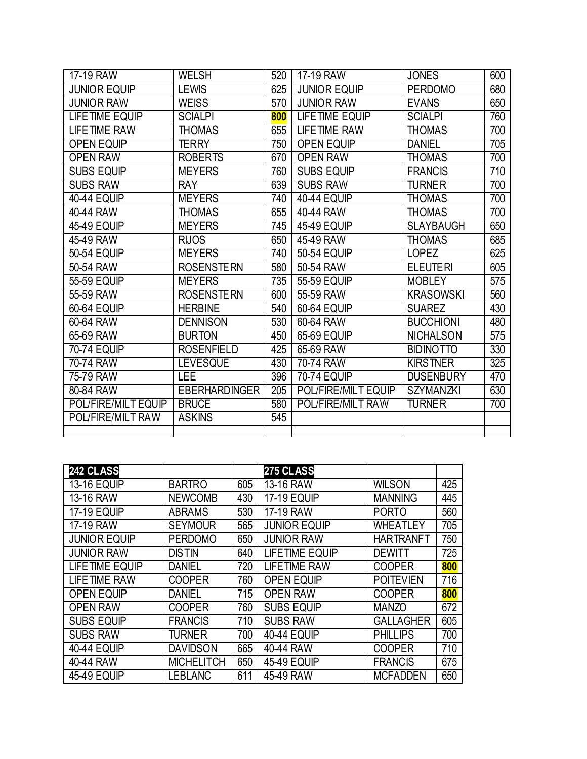| 17-19 RAW           | <b>WELSH</b>         | 520 | 17-19 RAW           | <b>JONES</b>     | 600 |
|---------------------|----------------------|-----|---------------------|------------------|-----|
| <b>JUNIOR EQUIP</b> | <b>LEWIS</b>         | 625 | <b>JUNIOR EQUIP</b> | <b>PERDOMO</b>   | 680 |
| <b>JUNIOR RAW</b>   | <b>WEISS</b>         | 570 | <b>JUNIOR RAW</b>   | <b>EVANS</b>     | 650 |
| LIFETIME EQUIP      | <b>SCIALPI</b>       | 800 | LIFETIME EQUIP      | <b>SCIALPI</b>   | 760 |
| <b>LIFETIME RAW</b> | <b>THOMAS</b>        | 655 | <b>LIFETIME RAW</b> | <b>THOMAS</b>    | 700 |
| <b>OPEN EQUIP</b>   | TERRY                | 750 | <b>OPEN EQUIP</b>   | <b>DANIEL</b>    | 705 |
| <b>OPEN RAW</b>     | <b>ROBERTS</b>       | 670 | <b>OPEN RAW</b>     | <b>THOMAS</b>    | 700 |
| <b>SUBS EQUIP</b>   | <b>MEYERS</b>        | 760 | <b>SUBS EQUIP</b>   | <b>FRANCIS</b>   | 710 |
| <b>SUBS RAW</b>     | <b>RAY</b>           | 639 | <b>SUBS RAW</b>     | <b>TURNER</b>    | 700 |
| <b>40-44 EQUIP</b>  | <b>MEYERS</b>        | 740 | <b>40-44 EQUIP</b>  | <b>THOMAS</b>    | 700 |
| 40-44 RAW           | <b>THOMAS</b>        | 655 | 40-44 RAW           | <b>THOMAS</b>    | 700 |
| 45-49 EQUIP         | <b>MEYERS</b>        | 745 | 45-49 EQUIP         | <b>SLAYBAUGH</b> | 650 |
| 45-49 RAW           | <b>RIJOS</b>         | 650 | 45-49 RAW           | THOMAS           | 685 |
| 50-54 EQUIP         | <b>MEYERS</b>        | 740 | 50-54 EQUIP         | <b>LOPEZ</b>     | 625 |
| 50-54 RAW           | <b>ROSENSTERN</b>    | 580 | 50-54 RAW           | <b>ELEUTERI</b>  | 605 |
| 55-59 EQUIP         | <b>MEYERS</b>        | 735 | 55-59 EQUIP         | <b>MOBLEY</b>    | 575 |
| 55-59 RAW           | <b>ROSENSTERN</b>    | 600 | 55-59 RAW           | <b>KRASOWSKI</b> | 560 |
| 60-64 EQUIP         | <b>HERBINE</b>       | 540 | <b>60-64 EQUIP</b>  | <b>SUAREZ</b>    | 430 |
| 60-64 RAW           | <b>DENNISON</b>      | 530 | 60-64 RAW           | <b>BUCCHIONI</b> | 480 |
| 65-69 RAW           | <b>BURTON</b>        | 450 | 65-69 EQUIP         | <b>NICHALSON</b> | 575 |
| <b>70-74 EQUIP</b>  | <b>ROSENFIELD</b>    | 425 | 65-69 RAW           | <b>BIDINOTTO</b> | 330 |
| 70-74 RAW           | <b>LEVESQUE</b>      | 430 | 70-74 RAW           | <b>KIRSTNER</b>  | 325 |
| 75-79 RAW           | <b>LEE</b>           | 396 | <b>70-74 EQUIP</b>  | <b>DUSENBURY</b> | 470 |
| 80-84 RAW           | <b>EBERHARDINGER</b> | 205 | POL/FIRE/MILT EQUIP | <b>SZYMANZKI</b> | 630 |
| POL/FIRE/MILT EQUIP | <b>BRUCE</b>         | 580 | POL/FIRE/MILT RAW   | <b>TURNER</b>    | 700 |
| POL/FIRE/MILT RAW   | <b>ASKINS</b>        | 545 |                     |                  |     |
|                     |                      |     |                     |                  |     |

| 242 CLASS           |                   |     | 275 CLASS             |                  |     |
|---------------------|-------------------|-----|-----------------------|------------------|-----|
| <b>13-16 EQUIP</b>  | <b>BARTRO</b>     | 605 | 13-16 RAW             | <b>WILSON</b>    | 425 |
| 13-16 RAW           | <b>NEWCOMB</b>    | 430 | <b>17-19 EQUIP</b>    | <b>MANNING</b>   | 445 |
| <b>17-19 EQUIP</b>  | <b>ABRAMS</b>     | 530 | 17-19 RAW             | <b>PORTO</b>     | 560 |
| 17-19 RAW           | <b>SEYMOUR</b>    | 565 | <b>JUNIOR EQUIP</b>   | <b>WHEATLEY</b>  | 705 |
| <b>JUNIOR EQUIP</b> | <b>PERDOMO</b>    | 650 | <b>JUNIOR RAW</b>     | <b>HARTRANFT</b> | 750 |
| <b>JUNIOR RAW</b>   | <b>DISTIN</b>     | 640 | <b>LIFETIME EQUIP</b> | <b>DEWITT</b>    | 725 |
| LIFETIME EQUIP      | <b>DANIEL</b>     | 720 | <b>LIFETIME RAW</b>   | <b>COOPER</b>    | 800 |
| <b>LIFETIME RAW</b> | <b>COOPER</b>     | 760 | <b>OPEN EQUIP</b>     | <b>POITEVIEN</b> | 716 |
| <b>OPEN EQUIP</b>   | <b>DANIEL</b>     | 715 | <b>OPEN RAW</b>       | <b>COOPER</b>    | 800 |
| <b>OPEN RAW</b>     | <b>COOPER</b>     | 760 | <b>SUBS EQUIP</b>     | <b>MANZO</b>     | 672 |
| <b>SUBS EQUIP</b>   | <b>FRANCIS</b>    | 710 | <b>SUBS RAW</b>       | <b>GALLAGHER</b> | 605 |
| <b>SUBS RAW</b>     | <b>TURNER</b>     | 700 | <b>40-44 EQUIP</b>    | <b>PHILLIPS</b>  | 700 |
| <b>40-44 EQUIP</b>  | <b>DAVIDSON</b>   | 665 | 40-44 RAW             | <b>COOPER</b>    | 710 |
| 40-44 RAW           | <b>MICHELITCH</b> | 650 | <b>45-49 EQUIP</b>    | <b>FRANCIS</b>   | 675 |
| <b>45-49 EQUIP</b>  | <b>LEBLANC</b>    | 611 | 45-49 RAW             | <b>MCFADDEN</b>  | 650 |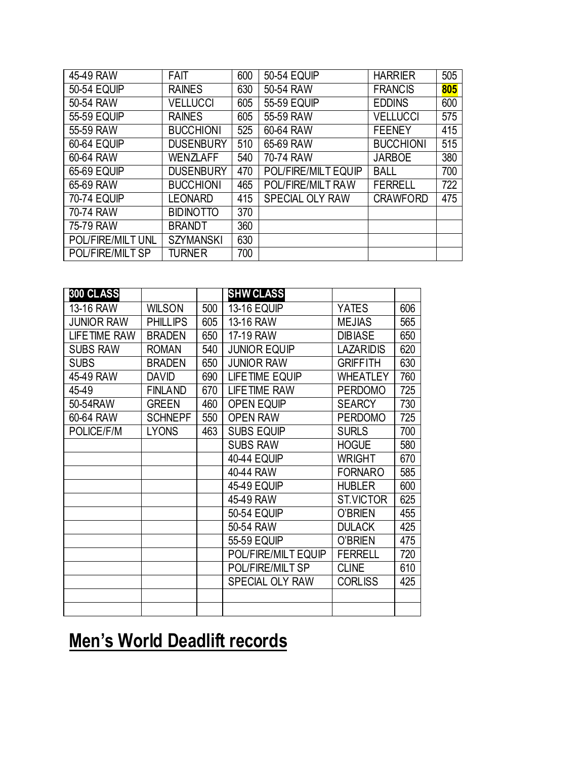| 45-49 RAW          | <b>FAIT</b>      | 600 | <b>50-54 EQUIP</b>     | <b>HARRIER</b>   | 505 |
|--------------------|------------------|-----|------------------------|------------------|-----|
| <b>50-54 EQUIP</b> | <b>RAINES</b>    | 630 | 50-54 RAW              | <b>FRANCIS</b>   | 805 |
| 50-54 RAW          | <b>VELLUCCI</b>  | 605 | 55-59 EQUIP            | <b>EDDINS</b>    | 600 |
| 55-59 EQUIP        | <b>RAINES</b>    | 605 | 55-59 RAW              | <b>VELLUCCI</b>  | 575 |
| 55-59 RAW          | <b>BUCCHIONI</b> | 525 | 60-64 RAW              | <b>FEENEY</b>    | 415 |
| <b>60-64 EQUIP</b> | <b>DUSENBURY</b> | 510 | 65-69 RAW              | <b>BUCCHIONI</b> | 515 |
| 60-64 RAW          | WENZLAFF         | 540 | 70-74 RAW              | <b>JARBOE</b>    | 380 |
| 65-69 EQUIP        | <b>DUSENBURY</b> | 470 | POL/FIRE/MILT EQUIP    | <b>BALL</b>      | 700 |
| 65-69 RAW          | <b>BUCCHIONI</b> | 465 | POL/FIRE/MILT RAW      | <b>FERRELL</b>   | 722 |
| <b>70-74 EQUIP</b> | <b>LEONARD</b>   | 415 | <b>SPECIAL OLY RAW</b> | <b>CRAWFORD</b>  | 475 |
| 70-74 RAW          | <b>BIDINOTTO</b> | 370 |                        |                  |     |
| 75-79 RAW          | <b>BRANDT</b>    | 360 |                        |                  |     |
| POL/FIRE/MILT UNL  | <b>SZYMANSKI</b> | 630 |                        |                  |     |
| POL/FIRE/MILT SP   | <b>TURNER</b>    | 700 |                        |                  |     |

| <b>300 CLASS</b>    |                 |     | <b>SHW CLASS</b>       |                  |     |
|---------------------|-----------------|-----|------------------------|------------------|-----|
| 13-16 RAW           | <b>WILSON</b>   | 500 | <b>13-16 EQUIP</b>     | <b>YATES</b>     | 606 |
| <b>JUNIOR RAW</b>   | <b>PHILLIPS</b> | 605 | 13-16 RAW              | <b>MEJIAS</b>    | 565 |
| <b>LIFETIME RAW</b> | <b>BRADEN</b>   | 650 | 17-19 RAW              | <b>DIBIASE</b>   | 650 |
| <b>SUBS RAW</b>     | <b>ROMAN</b>    | 540 | <b>JUNIOR EQUIP</b>    | <b>LAZARIDIS</b> | 620 |
| <b>SUBS</b>         | <b>BRADEN</b>   | 650 | <b>JUNIOR RAW</b>      | <b>GRIFFITH</b>  | 630 |
| 45-49 RAW           | <b>DAVID</b>    | 690 | LIFETIME EQUIP         | <b>WHEATLEY</b>  | 760 |
| 45-49               | <b>FINLAND</b>  | 670 | <b>LIFETIME RAW</b>    | <b>PERDOMO</b>   | 725 |
| 50-54RAW            | <b>GREEN</b>    | 460 | <b>OPEN EQUIP</b>      | <b>SEARCY</b>    | 730 |
| 60-64 RAW           | <b>SCHNEPF</b>  | 550 | <b>OPEN RAW</b>        | <b>PERDOMO</b>   | 725 |
| POLICE/F/M          | <b>LYONS</b>    | 463 | <b>SUBS EQUIP</b>      | <b>SURLS</b>     | 700 |
|                     |                 |     | <b>SUBS RAW</b>        | <b>HOGUE</b>     | 580 |
|                     |                 |     | <b>40-44 EQUIP</b>     | <b>WRIGHT</b>    | 670 |
|                     |                 |     | 40-44 RAW              | <b>FORNARO</b>   | 585 |
|                     |                 |     | <b>45-49 EQUIP</b>     | <b>HUBLER</b>    | 600 |
|                     |                 |     | 45-49 RAW              | <b>ST.VICTOR</b> | 625 |
|                     |                 |     | <b>50-54 EQUIP</b>     | O'BRIEN          | 455 |
|                     |                 |     | 50-54 RAW              | <b>DULACK</b>    | 425 |
|                     |                 |     | 55-59 EQUIP            | <b>O'BRIEN</b>   | 475 |
|                     |                 |     | POL/FIRE/MILT EQUIP    | <b>FERRELL</b>   | 720 |
|                     |                 |     | POL/FIRE/MILT SP       | <b>CLINE</b>     | 610 |
|                     |                 |     | <b>SPECIAL OLY RAW</b> | <b>CORLISS</b>   | 425 |
|                     |                 |     |                        |                  |     |
|                     |                 |     |                        |                  |     |

### **Men's World Deadlift records**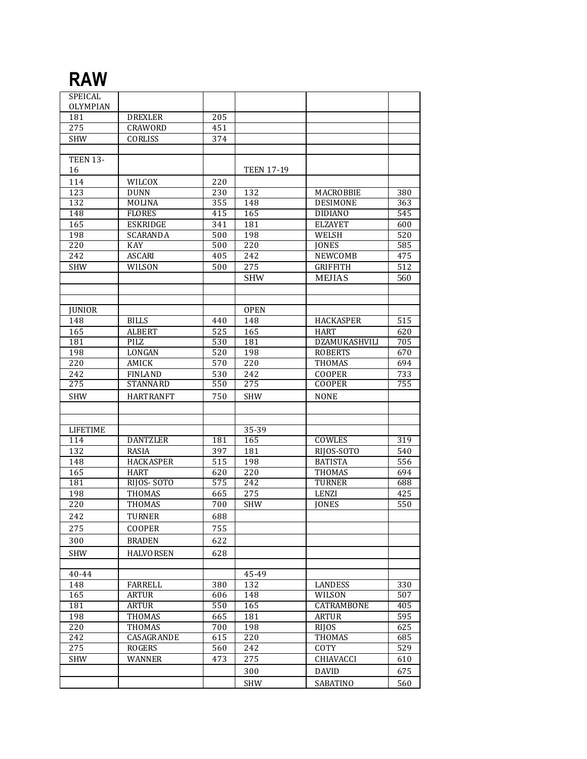#### **RAW**

| SPEICAL          |                    |                  |                   |                  |     |
|------------------|--------------------|------------------|-------------------|------------------|-----|
| <b>OLYMPIAN</b>  |                    |                  |                   |                  |     |
| 181              | <b>DREXLER</b>     | 205              |                   |                  |     |
| 275              | CRAWORD            | 451              |                   |                  |     |
| <b>SHW</b>       | CORLISS            | 374              |                   |                  |     |
|                  |                    |                  |                   |                  |     |
| <b>TEEN 13-</b>  |                    |                  |                   |                  |     |
| 16               |                    |                  | <b>TEEN 17-19</b> |                  |     |
| 114              | WILCOX             | 220              |                   |                  |     |
| 123              | <b>DUNN</b>        | 230              | 132               | MACROBBIE        | 380 |
| 132              | MOLINA             | 355              | 148               | <b>DESIMONE</b>  | 363 |
| 148              | <b>FLORES</b>      | 415              | 165               | <b>DIDIANO</b>   | 545 |
| 165              | <b>ESKRIDGE</b>    | 341              | 181               | <b>ELZAYET</b>   | 600 |
| 198              | <b>SCARANDA</b>    | 500              | 198               | WELSH            | 520 |
| 220              | KAY                | 500              | 220               | <b>JONES</b>     | 585 |
| 242              | <b>ASCARI</b>      | 405              | 242               | NEWCOMB          | 475 |
| <b>SHW</b>       | WILSON             | 500              | 275               | <b>GRIFFITH</b>  | 512 |
|                  |                    |                  | <b>SHW</b>        | <b>MEJIAS</b>    | 560 |
|                  |                    |                  |                   |                  |     |
|                  |                    |                  |                   |                  |     |
| <b>JUNIOR</b>    |                    |                  | <b>OPEN</b>       |                  |     |
| 148              | <b>BILLS</b>       | 440              | 148               | <b>HACKASPER</b> | 515 |
| 165              | <b>ALBERT</b>      | 525              | 165               | <b>HART</b>      | 620 |
| 181              | PILZ               | 530              | 181               | DZAMUKASHVILI    | 705 |
| 198              | LONGAN             | 520              | 198               | <b>ROBERTS</b>   | 670 |
| 220              | AMICK              | 570              | 220               | THOMAS           | 694 |
| 242              | <b>FINLAND</b>     | 530              | 242               | COOPER           | 733 |
| 275              | <b>STANNARD</b>    | 550              | 275               | <b>COOPER</b>    | 755 |
| <b>SHW</b>       | <b>HART RAN FT</b> | 750              | <b>SHW</b>        | <b>NONE</b>      |     |
|                  |                    |                  |                   |                  |     |
|                  |                    |                  |                   |                  |     |
| <b>LIFETIME</b>  |                    |                  | 35-39             |                  |     |
| 114              | <b>DANTZLER</b>    | 181              | 165               | COWLES           | 319 |
| $\overline{132}$ | <b>RASIA</b>       | 397              | 181               | RIJOS-SOTO       | 540 |
| 148              | <b>HACKASPER</b>   | 515              | 198               | <b>BATISTA</b>   | 556 |
| 165              | <b>HART</b>        | 620              | 220               | <b>THOMAS</b>    | 694 |
| 181              | RIJOS-SOTO         | $\overline{575}$ | 242               | <b>TURNER</b>    | 688 |
| 198              | <b>THOMAS</b>      | 665              | 275               | <b>LENZI</b>     | 425 |
| 220              | <b>THOMAS</b>      | 700              | <b>SHW</b>        | <b>JONES</b>     | 550 |
| 242              | <b>TURNER</b>      | 688              |                   |                  |     |
| 275              | <b>COOPER</b>      | 755              |                   |                  |     |
| 300              | <b>BRADEN</b>      | 622              |                   |                  |     |
|                  |                    |                  |                   |                  |     |
| <b>SHW</b>       | <b>HALVORSEN</b>   | 628              |                   |                  |     |
| 40-44            |                    |                  | 45-49             |                  |     |
| 148              | FARRELL            | 380              | 132               | LANDESS          | 330 |
| 165              | ARTUR              | 606              | 148               | WILSON           | 507 |
| 181              | <b>ARTUR</b>       | 550              | 165               | CATRAMBONE       | 405 |
| 198              | <b>THOMAS</b>      | 665              | 181               | <b>ARTUR</b>     | 595 |
| 220              | <b>THOMAS</b>      | 700              | 198               | <b>RIIOS</b>     | 625 |
| 242              | CASAGRANDE         | 615              | 220               | <b>THOMAS</b>    | 685 |
| 275              | ROGERS             | 560              | 242               | COTY             | 529 |
| <b>SHW</b>       | WANNER             | 473              | 275               | CHIAVACCI        | 610 |
|                  |                    |                  | 300               | <b>DAVID</b>     | 675 |
|                  |                    |                  | <b>SHW</b>        | <b>SABATINO</b>  | 560 |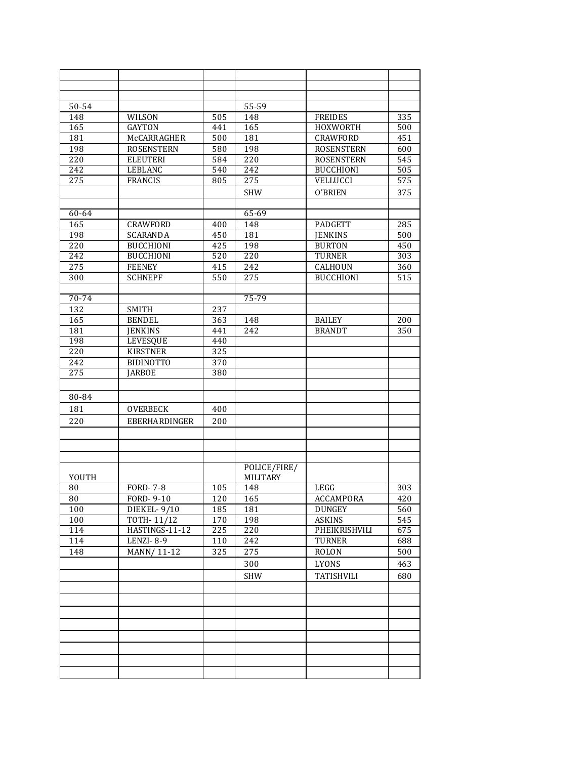| 50-54            |                    |     | 55-59           |                   |     |
|------------------|--------------------|-----|-----------------|-------------------|-----|
| 148              | WILSON             | 505 | 148             | <b>FREIDES</b>    | 335 |
| 165              | <b>GAYTON</b>      | 441 | 165             | HOXWORTH          | 500 |
| 181              | <b>McCARRAGHER</b> | 500 | 181             | CRAWFORD          | 451 |
| 198              | <b>ROSENSTERN</b>  | 580 | 198             | <b>ROSENSTERN</b> | 600 |
| 220              | <b>ELEUTERI</b>    | 584 | 220             | <b>ROSENSTERN</b> | 545 |
| 242              | <b>LEBLANC</b>     | 540 | 242             | <b>BUCCHIONI</b>  | 505 |
| 275              | <b>FRANCIS</b>     | 805 | 275             | VELLUCCI          | 575 |
|                  |                    |     | <b>SHW</b>      | O'BRIEN           | 375 |
|                  |                    |     |                 |                   |     |
| 60-64            |                    |     | 65-69           |                   |     |
| 165              | <b>CRAWFORD</b>    | 400 | 148             | <b>PADGETT</b>    | 285 |
| 198              | <b>SCARANDA</b>    | 450 | 181             | <b>JENKINS</b>    | 500 |
| $\overline{220}$ | <b>BUCCHIONI</b>   | 425 | 198             | <b>BURTON</b>     | 450 |
| 242              | <b>BUCCHIONI</b>   | 520 | 220             | <b>TURNER</b>     | 303 |
| 275              | <b>FEENEY</b>      | 415 | 242             | CALHOUN           | 360 |
| $\overline{300}$ | <b>SCHNEPF</b>     | 550 | 275             | <b>BUCCHIONI</b>  | 515 |
|                  |                    |     |                 |                   |     |
| 70-74            |                    |     | 75-79           |                   |     |
| 132              | <b>SMITH</b>       | 237 |                 |                   |     |
| 165              | <b>BENDEL</b>      | 363 | 148             | <b>BAILEY</b>     | 200 |
| 181              | <b>JENKINS</b>     | 441 | 242             | <b>BRANDT</b>     | 350 |
| 198              | <b>LEVESQUE</b>    | 440 |                 |                   |     |
| 220              | <b>KIRSTNER</b>    | 325 |                 |                   |     |
| 242              | <b>BIDINOTTO</b>   | 370 |                 |                   |     |
| 275              | <b>JARBOE</b>      | 380 |                 |                   |     |
|                  |                    |     |                 |                   |     |
|                  |                    |     |                 |                   |     |
| 80-84            |                    |     |                 |                   |     |
| 181              | <b>OVERBECK</b>    | 400 |                 |                   |     |
| 220              | EBERHARDINGER      | 200 |                 |                   |     |
|                  |                    |     |                 |                   |     |
|                  |                    |     |                 |                   |     |
|                  |                    |     |                 |                   |     |
|                  |                    |     | POLICE/FIRE/    |                   |     |
| YOUTH            |                    |     | <b>MILITARY</b> |                   |     |
| 80               | <b>FORD-7-8</b>    | 105 | 148             | LEGG              | 303 |
| 80               | FORD- $9-10$       | 120 | 165             | ACCAMPORA         | 420 |
| 100              | DIEKEL-9/10        | 185 | 181             | DUNGEY            | 560 |
| 100              | <b>TOTH-11/12</b>  | 170 | 198             | <b>ASKINS</b>     | 545 |
| 114              | HASTINGS-11-12     | 225 | 220             | PHEIKRISHVILI     | 675 |
| 114              | LENZI-8-9          | 110 | 242             | <b>TURNER</b>     | 688 |
| 148              | MANN/11-12         | 325 | 275             | <b>ROLON</b>      | 500 |
|                  |                    |     | 300             | LYONS             | 463 |
|                  |                    |     | <b>SHW</b>      | <b>TATISHVILI</b> | 680 |
|                  |                    |     |                 |                   |     |
|                  |                    |     |                 |                   |     |
|                  |                    |     |                 |                   |     |
|                  |                    |     |                 |                   |     |
|                  |                    |     |                 |                   |     |
|                  |                    |     |                 |                   |     |
|                  |                    |     |                 |                   |     |
|                  |                    |     |                 |                   |     |
|                  |                    |     |                 |                   |     |
|                  |                    |     |                 |                   |     |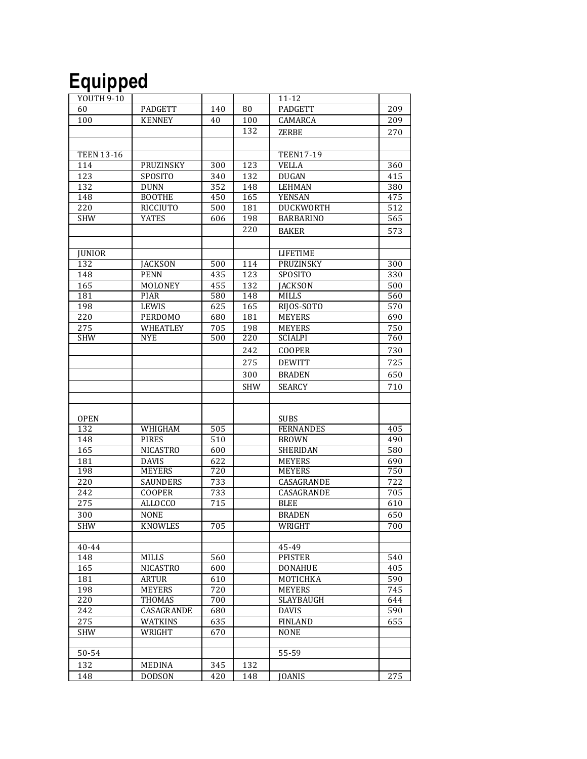## **Equipped**

| <b>YOUTH 9-10</b> |                              |            |            | $11 - 12$                      |            |
|-------------------|------------------------------|------------|------------|--------------------------------|------------|
| 60                | PADGETT                      | 140        | 80         | <b>PADGETT</b>                 | 209        |
| 100               | <b>KENNEY</b>                | 40         | 100        | CAMARCA                        | 209        |
|                   |                              |            | 132        | <b>ZERBE</b>                   | 270        |
|                   |                              |            |            |                                |            |
| <b>TEEN 13-16</b> |                              |            |            | <b>TEEN17-19</b>               |            |
|                   |                              |            | 123        |                                |            |
| 114<br>123        | PRUZINSKY                    | 300        |            | <b>VELLA</b>                   | 360        |
| 132               | SPOSITO                      | 340<br>352 | 132        | <b>DUGAN</b>                   | 415<br>380 |
| 148               | <b>DUNN</b><br><b>BOOTHE</b> |            | 148        | <b>LEHMAN</b><br><b>YENSAN</b> |            |
| 220               |                              | 450        | 165<br>181 |                                | 475<br>512 |
|                   | <b>RICCIUTO</b>              | 500        |            | DUCKWORTH                      |            |
| <b>SHW</b>        | YATES                        | 606        | 198        | <b>BARBARINO</b>               | 565        |
|                   |                              |            | 220        | <b>BAKER</b>                   | 573        |
|                   |                              |            |            |                                |            |
| <b>JUNIOR</b>     |                              |            |            | <b>LIFETIME</b>                |            |
| 132               | <b>JACKSON</b>               | 500        | 114        | PRUZINSKY                      | 300        |
| 148               | <b>PENN</b>                  | 435        | 123        | SPOSITO                        | 330        |
| 165               | MOLONEY                      | 455        | 132        | <b>JACKSON</b>                 | 500        |
| 181               | <b>PIAR</b>                  | 580        | 148        | <b>MILLS</b>                   | 560        |
| 198               | LEWIS                        | 625        | 165        | RIJOS-SOTO                     | 570        |
| 220               | <b>PERDOMO</b>               | 680        | 181        | <b>MEYERS</b>                  | 690        |
| 275               | WHEATLEY                     | 705        | 198        | <b>MEYERS</b>                  | 750        |
| <b>SHW</b>        | <b>NYE</b>                   | 500        | 220        | SCIALPI                        | 760        |
|                   |                              |            | 242        | COOPER                         | 730        |
|                   |                              |            | 275        | <b>DEWITT</b>                  | 725        |
|                   |                              |            | 300        | <b>BRADEN</b>                  | 650        |
|                   |                              |            |            |                                |            |
|                   |                              |            | <b>SHW</b> | <b>SEARCY</b>                  | 710        |
|                   |                              |            |            |                                |            |
|                   |                              |            |            |                                |            |
| <b>OPEN</b>       |                              |            |            | <b>SUBS</b>                    |            |
| 132               | WHIGHAM                      | 505        |            | <b>FERNANDES</b>               | 405        |
| 148               | <b>PIRES</b>                 | 510        |            | <b>BROWN</b>                   | 490        |
| 165               | <b>NICASTRO</b>              | 600        |            | SHERIDAN                       | 580        |
| 181               | <b>DAVIS</b>                 | 622        |            | <b>MEYERS</b>                  | 690        |
| 198               | MEYERS                       | 720        |            | <b>MEYERS</b>                  | 750        |
| 220               | <b>SAUNDERS</b>              | 733        |            | CASAGRANDE                     | 722        |
| 242               | <b>COOPER</b>                | 733        |            | CASAGRANDE                     | 705        |
| 275               | <b>ALLOCCO</b>               | 715        |            | <b>BLEE</b>                    | 610        |
| 300               | <b>NONE</b>                  |            |            | <b>BRADEN</b>                  | 650        |
| <b>SHW</b>        | KNOWLES                      | 705        |            | WRIGHT                         | 700        |
|                   |                              |            |            |                                |            |
| 40-44             |                              |            |            | 45-49                          |            |
| 148               | <b>MILLS</b>                 | 560        |            | <b>PFISTER</b>                 | 540        |
| 165               | <b>NICASTRO</b>              | 600        |            | <b>DONAHUE</b>                 | 405        |
| 181               | ARTUR                        | 610        |            | <b>MOTICHKA</b>                | 590        |
| 198               | <b>MEYERS</b>                | 720        |            | <b>MEYERS</b>                  | 745        |
| 220               | THOMAS                       | 700        |            | <b>SLAYBAUGH</b>               | 644        |
| 242               | CASAGRANDE                   | 680        |            | <b>DAVIS</b>                   | 590        |
| 275               | <b>WATKINS</b>               | 635        |            | <b>FINLAND</b>                 | 655        |
| <b>SHW</b>        | WRIGHT                       | 670        |            | <b>NONE</b>                    |            |
|                   |                              |            |            |                                |            |
| 50-54             |                              |            |            | 55-59                          |            |
| 132               | MEDINA                       | 345        | 132        |                                |            |
| 148               | <b>DODSON</b>                | 420        | 148        | <b>JOANIS</b>                  | 275        |